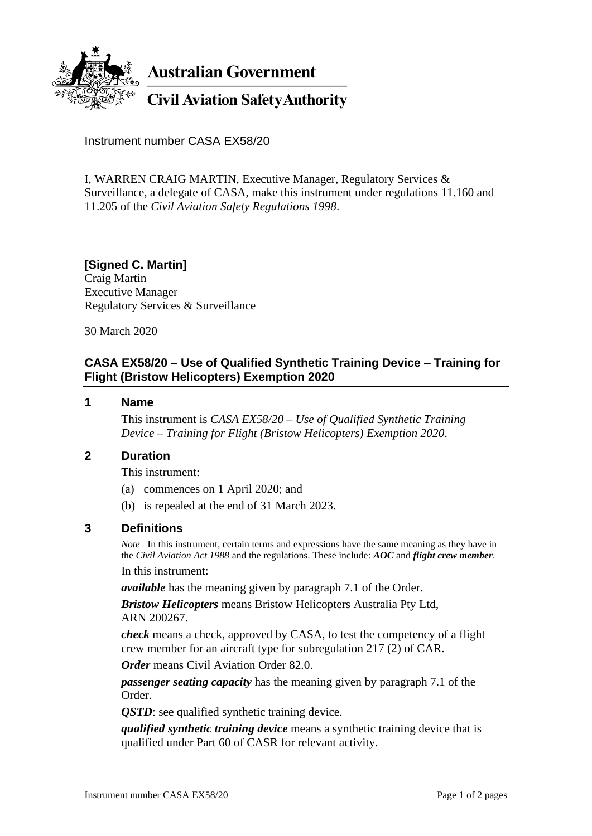

**Australian Government** 

**Civil Aviation Safety Authority** 

Instrument number CASA EX58/20

I, WARREN CRAIG MARTIN, Executive Manager, Regulatory Services & Surveillance, a delegate of CASA, make this instrument under regulations 11.160 and 11.205 of the *Civil Aviation Safety Regulations 1998*.

# **[Signed C. Martin]**

Craig Martin Executive Manager Regulatory Services & Surveillance

30 March 2020

# **CASA EX58/20 – Use of Qualified Synthetic Training Device – Training for Flight (Bristow Helicopters) Exemption 2020**

### **1 Name**

This instrument is *CASA EX58/20 – Use of Qualified Synthetic Training Device – Training for Flight (Bristow Helicopters) Exemption 2020*.

## **2 Duration**

This instrument:

- (a) commences on 1 April 2020; and
- (b) is repealed at the end of 31 March 2023.

## **3 Definitions**

*Note* In this instrument, certain terms and expressions have the same meaning as they have in the *Civil Aviation Act 1988* and the regulations. These include: *AOC* and *flight crew member*. In this instrument:

*available* has the meaning given by paragraph 7.1 of the Order.

*Bristow Helicopters* means Bristow Helicopters Australia Pty Ltd, ARN 200267.

*check* means a check, approved by CASA, to test the competency of a flight crew member for an aircraft type for subregulation 217 (2) of CAR.

*Order* means Civil Aviation Order 82.0.

*passenger seating capacity* has the meaning given by paragraph 7.1 of the Order.

*QSTD*: see qualified synthetic training device.

*qualified synthetic training device* means a synthetic training device that is qualified under Part 60 of CASR for relevant activity.